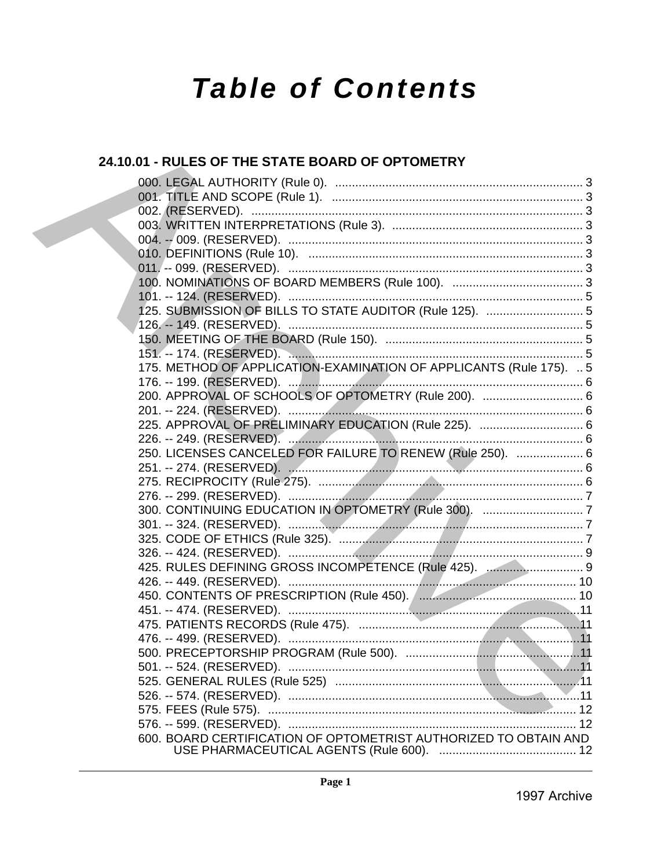# **Table of Contents**

# 24.10.01 - RULES OF THE STATE BOARD OF OPTOMETRY

|  | 125. SUBMISSION OF BILLS TO STATE AUDITOR (Rule 125).  5            |
|--|---------------------------------------------------------------------|
|  |                                                                     |
|  |                                                                     |
|  |                                                                     |
|  | 175. METHOD OF APPLICATION-EXAMINATION OF APPLICANTS (Rule 175).  5 |
|  |                                                                     |
|  | 200. APPROVAL OF SCHOOLS OF OPTOMETRY (Rule 200).  6                |
|  |                                                                     |
|  |                                                                     |
|  |                                                                     |
|  | 250. LICENSES CANCELED FOR FAILURE TO RENEW (Rule 250).  6          |
|  |                                                                     |
|  |                                                                     |
|  |                                                                     |
|  |                                                                     |
|  |                                                                     |
|  |                                                                     |
|  | 425. RULES DEFINING GROSS INCOMPETENCE (Rule 425).  9               |
|  |                                                                     |
|  |                                                                     |
|  |                                                                     |
|  |                                                                     |
|  |                                                                     |
|  |                                                                     |
|  |                                                                     |
|  |                                                                     |
|  |                                                                     |
|  |                                                                     |
|  |                                                                     |
|  | 600. BOARD CERTIFICATION OF OPTOMETRIST AUTHORIZED TO OBTAIN AND    |
|  |                                                                     |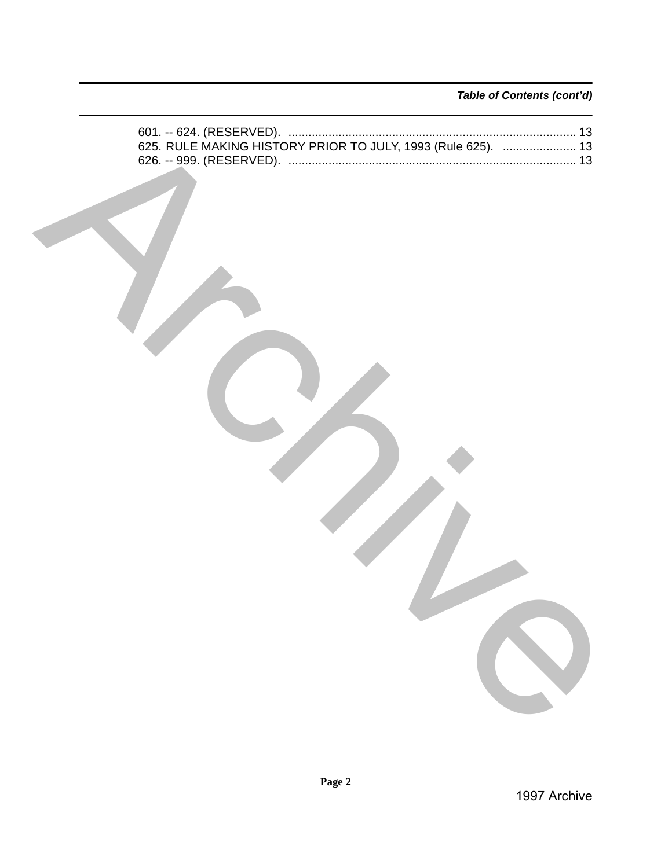*Table of Contents (cont'd)*

|  | Page 2 | 1997 Archive |
|--|--------|--------------|
|  |        |              |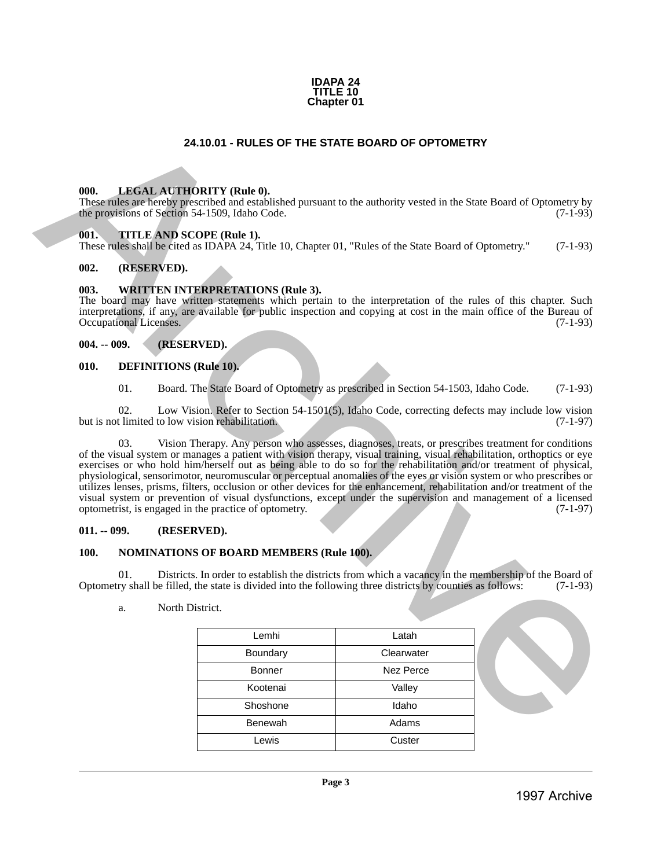#### **IDAPA 24 TITLE 10 Chapter 01**

# **24.10.01 - RULES OF THE STATE BOARD OF OPTOMETRY**

#### <span id="page-2-1"></span>**000. LEGAL AUTHORITY (Rule 0).**

These rules are hereby prescribed and established pursuant to the authority vested in the State Board of Optometry by the provisions of Section 54-1509, Idaho Code. (7-1-93)

#### <span id="page-2-2"></span>**001. TITLE AND SCOPE (Rule 1).**

These rules shall be cited as IDAPA 24, Title 10, Chapter 01, "Rules of the State Board of Optometry." (7-1-93)

#### <span id="page-2-3"></span>**002. (RESERVED).**

#### <span id="page-2-4"></span>**003. WRITTEN INTERPRETATIONS (Rule 3).**

The board may have written statements which pertain to the interpretation of the rules of this chapter. Such interpretations, if any, are available for public inspection and copying at cost in the main office of the Bureau of Occupational Licenses. (7-1-93)

#### <span id="page-2-5"></span>**004. -- 009. (RESERVED).**

#### <span id="page-2-6"></span>**010. DEFINITIONS (Rule 10).**

01. Board. The State Board of Optometry as prescribed in Section 54-1503, Idaho Code. (7-1-93)

02. Low Vision. Refer to Section 54-1501(5), Idaho Code, correcting defects may include low vision but is not limited to low vision rehabilitation. (7-1-97)

<span id="page-2-0"></span>03. Vision Therapy. Any person who assesses, diagnoses, treats, or prescribes treatment for conditions of the visual system or manages a patient with vision therapy, visual training, visual rehabilitation, orthoptics or eye exercises or who hold him/herself out as being able to do so for the rehabilitation and/or treatment of physical, physiological, sensorimotor, neuromuscular or perceptual anomalies of the eyes or vision system or who prescribes or utilizes lenses, prisms, filters, occlusion or other devices for the enhancement, rehabilitation and/or treatment of the visual system or prevention of visual dysfunctions, except under the supervision and management of a licensed optometrist, is engaged in the practice of optometry. (7-1-97) 24.10.01 • RULES OF THE STATE BOARD OF OPTOMETRY<br>
1998. LIBERAL ATTICURENTY (Rebe 0),<br>
Encoration at Science Strip (1997) (Rebe),<br>
The resulting archive Archive Archive Archive Archive Archive Archive Archive Archive Arch

#### <span id="page-2-7"></span>**011. -- 099. (RESERVED).**

#### <span id="page-2-8"></span>**100. NOMINATIONS OF BOARD MEMBERS (Rule 100).**

01. Districts. In order to establish the districts from which a vacancy in the membership of the Board of Optometry shall be filled, the state is divided into the following three districts by counties as follows: (7-1-93)

a. North District.

| Lemhi          | Latah      |
|----------------|------------|
| Boundary       | Clearwater |
| <b>Bonner</b>  | Nez Perce  |
| Kootenai       | Valley     |
| Shoshone       | Idaho      |
| <b>Benewah</b> | Adams      |
| Lewis          | Custer     |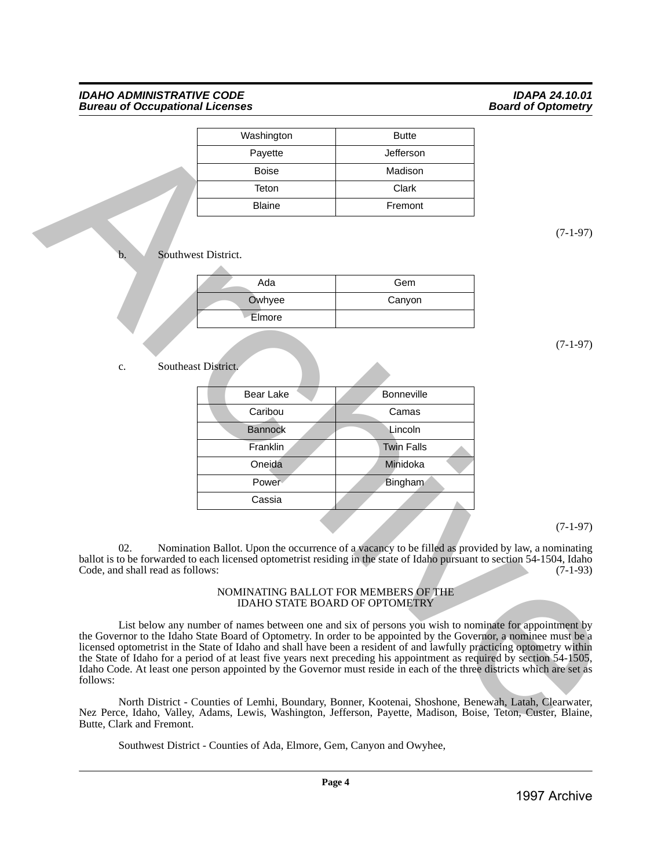| Washington    | <b>Butte</b> |
|---------------|--------------|
| Payette       | Jefferson    |
| <b>Boise</b>  | Madison      |
| Teton         | Clark        |
| <b>Blaine</b> | Fremont      |

| Ada    | Gem    |
|--------|--------|
| Owhyee | Canyon |
| Elmore |        |
|        |        |

#### c. Southeast District.

|                                         | Washington                                                            | <b>Butte</b>                                                                                                                                                                                                                                                                                                                                                                                                                                                                                                                                                                                          |            |
|-----------------------------------------|-----------------------------------------------------------------------|-------------------------------------------------------------------------------------------------------------------------------------------------------------------------------------------------------------------------------------------------------------------------------------------------------------------------------------------------------------------------------------------------------------------------------------------------------------------------------------------------------------------------------------------------------------------------------------------------------|------------|
|                                         | Payette                                                               | Jefferson                                                                                                                                                                                                                                                                                                                                                                                                                                                                                                                                                                                             |            |
|                                         | <b>Boise</b>                                                          | Madison                                                                                                                                                                                                                                                                                                                                                                                                                                                                                                                                                                                               |            |
|                                         | Teton                                                                 | Clark                                                                                                                                                                                                                                                                                                                                                                                                                                                                                                                                                                                                 |            |
|                                         | <b>Blaine</b>                                                         | Fremont                                                                                                                                                                                                                                                                                                                                                                                                                                                                                                                                                                                               |            |
|                                         |                                                                       |                                                                                                                                                                                                                                                                                                                                                                                                                                                                                                                                                                                                       |            |
|                                         |                                                                       |                                                                                                                                                                                                                                                                                                                                                                                                                                                                                                                                                                                                       | $(7-1-97)$ |
| Southwest District.<br>b.               |                                                                       |                                                                                                                                                                                                                                                                                                                                                                                                                                                                                                                                                                                                       |            |
|                                         | Ada                                                                   | Gem                                                                                                                                                                                                                                                                                                                                                                                                                                                                                                                                                                                                   |            |
|                                         | Owhyee                                                                | Canyon                                                                                                                                                                                                                                                                                                                                                                                                                                                                                                                                                                                                |            |
|                                         | Elmore                                                                |                                                                                                                                                                                                                                                                                                                                                                                                                                                                                                                                                                                                       |            |
|                                         |                                                                       |                                                                                                                                                                                                                                                                                                                                                                                                                                                                                                                                                                                                       |            |
|                                         |                                                                       |                                                                                                                                                                                                                                                                                                                                                                                                                                                                                                                                                                                                       | $(7-1-97)$ |
| Southeast District.<br>c.               |                                                                       |                                                                                                                                                                                                                                                                                                                                                                                                                                                                                                                                                                                                       |            |
|                                         | <b>Bear Lake</b>                                                      | Bonneville                                                                                                                                                                                                                                                                                                                                                                                                                                                                                                                                                                                            |            |
|                                         | Caribou                                                               | Camas                                                                                                                                                                                                                                                                                                                                                                                                                                                                                                                                                                                                 |            |
|                                         | <b>Bannock</b>                                                        | Lincoln                                                                                                                                                                                                                                                                                                                                                                                                                                                                                                                                                                                               |            |
|                                         | Franklin                                                              | <b>Twin Falls</b>                                                                                                                                                                                                                                                                                                                                                                                                                                                                                                                                                                                     |            |
|                                         | Oneida                                                                | Minidoka                                                                                                                                                                                                                                                                                                                                                                                                                                                                                                                                                                                              |            |
|                                         | Power                                                                 | Bingham                                                                                                                                                                                                                                                                                                                                                                                                                                                                                                                                                                                               |            |
|                                         | Cassia                                                                |                                                                                                                                                                                                                                                                                                                                                                                                                                                                                                                                                                                                       |            |
|                                         |                                                                       |                                                                                                                                                                                                                                                                                                                                                                                                                                                                                                                                                                                                       |            |
|                                         |                                                                       |                                                                                                                                                                                                                                                                                                                                                                                                                                                                                                                                                                                                       | $(7-1-97)$ |
| 02.<br>Code, and shall read as follows: |                                                                       | Nomination Ballot. Upon the occurrence of a vacancy to be filled as provided by law, a nominating<br>ballot is to be forwarded to each licensed optometrist residing in the state of Idaho pursuant to section 54-1504, Idaho                                                                                                                                                                                                                                                                                                                                                                         | $(7-1-93)$ |
|                                         |                                                                       | NOMINATING BALLOT FOR MEMBERS OF THE<br><b>IDAHO STATE BOARD OF OPTOMETRY</b>                                                                                                                                                                                                                                                                                                                                                                                                                                                                                                                         |            |
|                                         |                                                                       |                                                                                                                                                                                                                                                                                                                                                                                                                                                                                                                                                                                                       |            |
|                                         |                                                                       | List below any number of names between one and six of persons you wish to nominate for appointment by<br>the Governor to the Idaho State Board of Optometry. In order to be appointed by the Governor, a nominee must be a<br>licensed optometrist in the State of Idaho and shall have been a resident of and lawfully practicing optometry within<br>the State of Idaho for a period of at least five years next preceding his appointment as required by section 54-1505,<br>Idaho Code. At least one person appointed by the Governor must reside in each of the three districts which are set as |            |
| follows:                                |                                                                       |                                                                                                                                                                                                                                                                                                                                                                                                                                                                                                                                                                                                       |            |
| Butte, Clark and Fremont.               |                                                                       | North District - Counties of Lemhi, Boundary, Bonner, Kootenai, Shoshone, Benewah, Latah, Clearwater,<br>Nez Perce, Idaho, Valley, Adams, Lewis, Washington, Jefferson, Payette, Madison, Boise, Teton, Custer, Blaine,                                                                                                                                                                                                                                                                                                                                                                               |            |
|                                         | Southwest District - Counties of Ada, Elmore, Gem, Canyon and Owyhee, |                                                                                                                                                                                                                                                                                                                                                                                                                                                                                                                                                                                                       |            |
|                                         |                                                                       |                                                                                                                                                                                                                                                                                                                                                                                                                                                                                                                                                                                                       |            |

#### NOMINATING BALLOT FOR MEMBERS OF THE IDAHO STATE BOARD OF OPTOMETRY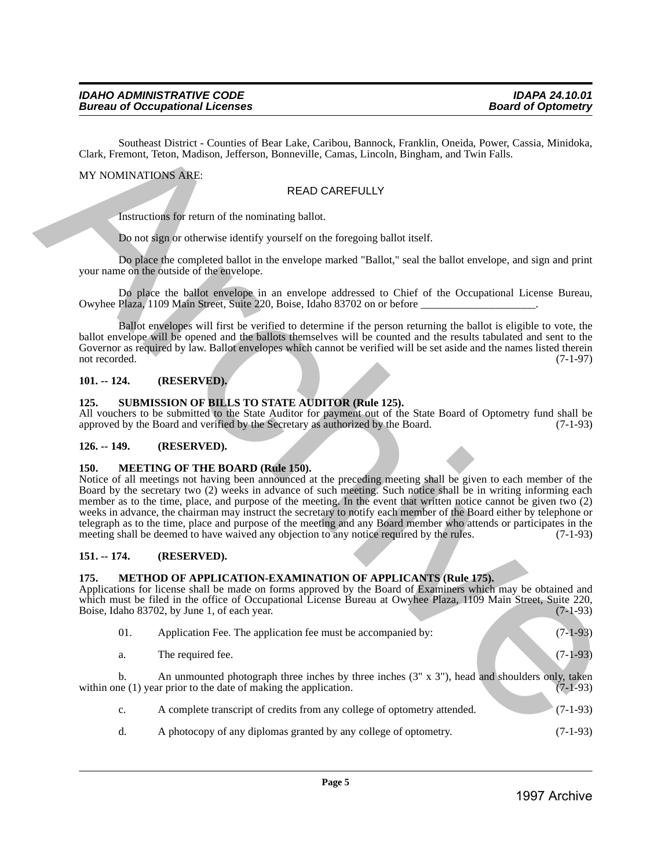# MY NOMINATIONS ARE:

# READ CAREFULLY

#### <span id="page-4-0"></span>**101. -- 124. (RESERVED).**

# <span id="page-4-1"></span>**125. SUBMISSION OF BILLS TO STATE AUDITOR (Rule 125).**

# <span id="page-4-2"></span>**126. -- 149. (RESERVED).**

#### <span id="page-4-3"></span>**150. MEETING OF THE BOARD (Rule 150).**

# <span id="page-4-4"></span>**151. -- 174. (RESERVED).**

#### <span id="page-4-5"></span>**175. METHOD OF APPLICATION-EXAMINATION OF APPLICANTS (Rule 175).**

| <b>READ CAREFULLY</b><br>Instructions for return of the nominating ballot.<br>Do not sign or otherwise identify yourself on the foregoing ballot itself.<br>Do place the completed ballot in the envelope marked "Ballot," seal the ballot envelope, and sign and print<br>your name on the outside of the envelope.<br>Do place the ballot envelope in an envelope addressed to Chief of the Occupational License Bureau,<br>Owyhee Plaza, 1109 Main Street, Suite 220, Boise, Idaho 83702 on or before ________________________.<br>Ballot envelopes will first be verified to determine if the person returning the ballot is eligible to vote, the<br>ballot envelope will be opened and the ballots themselves will be counted and the results tabulated and sent to the<br>Governor as required by law. Ballot envelopes which cannot be verified will be set aside and the names listed therein<br>not recorded.<br>$101. - 124.$<br>(RESERVED).<br><b>SUBMISSION OF BILLS TO STATE AUDITOR (Rule 125).</b><br>125.<br>All vouchers to be submitted to the State Auditor for payment out of the State Board of Optometry fund shall be<br>approved by the Board and verified by the Secretary as authorized by the Board.<br>$126. - 149.$<br>(RESERVED).<br><b>150.</b><br><b>MEETING OF THE BOARD (Rule 150).</b><br>Notice of all meetings not having been announced at the preceding meeting shall be given to each member of the<br>Board by the secretary two (2) weeks in advance of such meeting. Such notice shall be in writing informing each<br>member as to the time, place, and purpose of the meeting. In the event that written notice cannot be given two (2)<br>weeks in advance, the chairman may instruct the secretary to notify each member of the Board either by telephone or<br>telegraph as to the time, place and purpose of the meeting and any Board member who attends or participates in the<br>meeting shall be deemed to have waived any objection to any notice required by the rules.<br>$151. - 174.$<br>(RESERVED).<br>175.<br><b>METHOD OF APPLICATION-EXAMINATION OF APPLICANTS (Rule 175).</b><br>Applications for license shall be made on forms approved by the Board of Examiners which may be obtained and<br>which must be filed in the office of Occupational License Bureau at Owyhee Plaza, 1109 Main Street, Suite 220,<br>Boise, Idaho 83702, by June 1, of each year.<br>01.<br>Application Fee. The application fee must be accompanied by:<br>$(7-1-93)$<br>The required fee.<br>a.<br>An unmounted photograph three inches by three inches $(3'' \times 3'')$ , head and shoulders only, taken<br>$\mathbf{b}$ .<br>within one (1) year prior to the date of making the application.<br>A complete transcript of credits from any college of optometry attended.<br>c.<br>A photocopy of any diplomas granted by any college of optometry.<br>d.<br>$(7-1-93)$ | MY NOMINATIONS ARE: |  |            |
|-----------------------------------------------------------------------------------------------------------------------------------------------------------------------------------------------------------------------------------------------------------------------------------------------------------------------------------------------------------------------------------------------------------------------------------------------------------------------------------------------------------------------------------------------------------------------------------------------------------------------------------------------------------------------------------------------------------------------------------------------------------------------------------------------------------------------------------------------------------------------------------------------------------------------------------------------------------------------------------------------------------------------------------------------------------------------------------------------------------------------------------------------------------------------------------------------------------------------------------------------------------------------------------------------------------------------------------------------------------------------------------------------------------------------------------------------------------------------------------------------------------------------------------------------------------------------------------------------------------------------------------------------------------------------------------------------------------------------------------------------------------------------------------------------------------------------------------------------------------------------------------------------------------------------------------------------------------------------------------------------------------------------------------------------------------------------------------------------------------------------------------------------------------------------------------------------------------------------------------------------------------------------------------------------------------------------------------------------------------------------------------------------------------------------------------------------------------------------------------------------------------------------------------------------------------------------------------------------------------------------------------------------------------------------------------------------------------------------------------------------------------------------------------------------------------------------------------------------------------------------------------------------------------------------------|---------------------|--|------------|
|                                                                                                                                                                                                                                                                                                                                                                                                                                                                                                                                                                                                                                                                                                                                                                                                                                                                                                                                                                                                                                                                                                                                                                                                                                                                                                                                                                                                                                                                                                                                                                                                                                                                                                                                                                                                                                                                                                                                                                                                                                                                                                                                                                                                                                                                                                                                                                                                                                                                                                                                                                                                                                                                                                                                                                                                                                                                                                                             |                     |  |            |
|                                                                                                                                                                                                                                                                                                                                                                                                                                                                                                                                                                                                                                                                                                                                                                                                                                                                                                                                                                                                                                                                                                                                                                                                                                                                                                                                                                                                                                                                                                                                                                                                                                                                                                                                                                                                                                                                                                                                                                                                                                                                                                                                                                                                                                                                                                                                                                                                                                                                                                                                                                                                                                                                                                                                                                                                                                                                                                                             |                     |  |            |
|                                                                                                                                                                                                                                                                                                                                                                                                                                                                                                                                                                                                                                                                                                                                                                                                                                                                                                                                                                                                                                                                                                                                                                                                                                                                                                                                                                                                                                                                                                                                                                                                                                                                                                                                                                                                                                                                                                                                                                                                                                                                                                                                                                                                                                                                                                                                                                                                                                                                                                                                                                                                                                                                                                                                                                                                                                                                                                                             |                     |  |            |
|                                                                                                                                                                                                                                                                                                                                                                                                                                                                                                                                                                                                                                                                                                                                                                                                                                                                                                                                                                                                                                                                                                                                                                                                                                                                                                                                                                                                                                                                                                                                                                                                                                                                                                                                                                                                                                                                                                                                                                                                                                                                                                                                                                                                                                                                                                                                                                                                                                                                                                                                                                                                                                                                                                                                                                                                                                                                                                                             |                     |  |            |
|                                                                                                                                                                                                                                                                                                                                                                                                                                                                                                                                                                                                                                                                                                                                                                                                                                                                                                                                                                                                                                                                                                                                                                                                                                                                                                                                                                                                                                                                                                                                                                                                                                                                                                                                                                                                                                                                                                                                                                                                                                                                                                                                                                                                                                                                                                                                                                                                                                                                                                                                                                                                                                                                                                                                                                                                                                                                                                                             |                     |  |            |
|                                                                                                                                                                                                                                                                                                                                                                                                                                                                                                                                                                                                                                                                                                                                                                                                                                                                                                                                                                                                                                                                                                                                                                                                                                                                                                                                                                                                                                                                                                                                                                                                                                                                                                                                                                                                                                                                                                                                                                                                                                                                                                                                                                                                                                                                                                                                                                                                                                                                                                                                                                                                                                                                                                                                                                                                                                                                                                                             |                     |  | $(7-1-97)$ |
|                                                                                                                                                                                                                                                                                                                                                                                                                                                                                                                                                                                                                                                                                                                                                                                                                                                                                                                                                                                                                                                                                                                                                                                                                                                                                                                                                                                                                                                                                                                                                                                                                                                                                                                                                                                                                                                                                                                                                                                                                                                                                                                                                                                                                                                                                                                                                                                                                                                                                                                                                                                                                                                                                                                                                                                                                                                                                                                             |                     |  | $(7-1-93)$ |
|                                                                                                                                                                                                                                                                                                                                                                                                                                                                                                                                                                                                                                                                                                                                                                                                                                                                                                                                                                                                                                                                                                                                                                                                                                                                                                                                                                                                                                                                                                                                                                                                                                                                                                                                                                                                                                                                                                                                                                                                                                                                                                                                                                                                                                                                                                                                                                                                                                                                                                                                                                                                                                                                                                                                                                                                                                                                                                                             |                     |  |            |
|                                                                                                                                                                                                                                                                                                                                                                                                                                                                                                                                                                                                                                                                                                                                                                                                                                                                                                                                                                                                                                                                                                                                                                                                                                                                                                                                                                                                                                                                                                                                                                                                                                                                                                                                                                                                                                                                                                                                                                                                                                                                                                                                                                                                                                                                                                                                                                                                                                                                                                                                                                                                                                                                                                                                                                                                                                                                                                                             |                     |  | $(7-1-93)$ |
|                                                                                                                                                                                                                                                                                                                                                                                                                                                                                                                                                                                                                                                                                                                                                                                                                                                                                                                                                                                                                                                                                                                                                                                                                                                                                                                                                                                                                                                                                                                                                                                                                                                                                                                                                                                                                                                                                                                                                                                                                                                                                                                                                                                                                                                                                                                                                                                                                                                                                                                                                                                                                                                                                                                                                                                                                                                                                                                             |                     |  | $(7-1-93)$ |
|                                                                                                                                                                                                                                                                                                                                                                                                                                                                                                                                                                                                                                                                                                                                                                                                                                                                                                                                                                                                                                                                                                                                                                                                                                                                                                                                                                                                                                                                                                                                                                                                                                                                                                                                                                                                                                                                                                                                                                                                                                                                                                                                                                                                                                                                                                                                                                                                                                                                                                                                                                                                                                                                                                                                                                                                                                                                                                                             |                     |  |            |
|                                                                                                                                                                                                                                                                                                                                                                                                                                                                                                                                                                                                                                                                                                                                                                                                                                                                                                                                                                                                                                                                                                                                                                                                                                                                                                                                                                                                                                                                                                                                                                                                                                                                                                                                                                                                                                                                                                                                                                                                                                                                                                                                                                                                                                                                                                                                                                                                                                                                                                                                                                                                                                                                                                                                                                                                                                                                                                                             |                     |  |            |
|                                                                                                                                                                                                                                                                                                                                                                                                                                                                                                                                                                                                                                                                                                                                                                                                                                                                                                                                                                                                                                                                                                                                                                                                                                                                                                                                                                                                                                                                                                                                                                                                                                                                                                                                                                                                                                                                                                                                                                                                                                                                                                                                                                                                                                                                                                                                                                                                                                                                                                                                                                                                                                                                                                                                                                                                                                                                                                                             |                     |  | $(7-1-93)$ |
|                                                                                                                                                                                                                                                                                                                                                                                                                                                                                                                                                                                                                                                                                                                                                                                                                                                                                                                                                                                                                                                                                                                                                                                                                                                                                                                                                                                                                                                                                                                                                                                                                                                                                                                                                                                                                                                                                                                                                                                                                                                                                                                                                                                                                                                                                                                                                                                                                                                                                                                                                                                                                                                                                                                                                                                                                                                                                                                             |                     |  | $(7-1-93)$ |
|                                                                                                                                                                                                                                                                                                                                                                                                                                                                                                                                                                                                                                                                                                                                                                                                                                                                                                                                                                                                                                                                                                                                                                                                                                                                                                                                                                                                                                                                                                                                                                                                                                                                                                                                                                                                                                                                                                                                                                                                                                                                                                                                                                                                                                                                                                                                                                                                                                                                                                                                                                                                                                                                                                                                                                                                                                                                                                                             |                     |  | $(7-1-93)$ |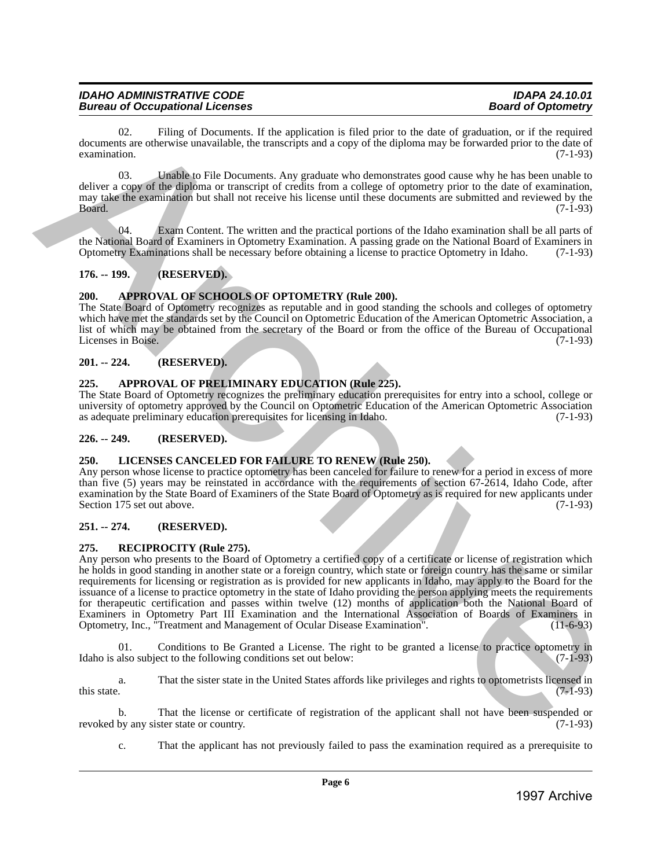02. Filing of Documents. If the application is filed prior to the date of graduation, or if the required documents are otherwise unavailable, the transcripts and a copy of the diploma may be forwarded prior to the date of examination. (7-1-93)  $\alpha$  examination. (7-1-93)

03. Unable to File Documents. Any graduate who demonstrates good cause why he has been unable to deliver a copy of the diploma or transcript of credits from a college of optometry prior to the date of examination, may take the examination but shall not receive his license until these documents are submitted and reviewed by the  $Board.$  (7-1-93)

Exam Content. The written and the practical portions of the Idaho examination shall be all parts of the National Board of Examiners in Optometry Examination. A passing grade on the National Board of Examiners in Optometry Examinations shall be necessary before obtaining a license to practice Optometry in Idaho. (7-1-93)

# <span id="page-5-0"></span>**176. -- 199. (RESERVED).**

# <span id="page-5-1"></span>**200. APPROVAL OF SCHOOLS OF OPTOMETRY (Rule 200).**

The State Board of Optometry recognizes as reputable and in good standing the schools and colleges of optometry which have met the standards set by the Council on Optometric Education of the American Optometric Association, a list of which may be obtained from the secretary of the Board or from the office of the Bureau of Occupational Licenses in Boise.

# <span id="page-5-2"></span>**201. -- 224. (RESERVED).**

# <span id="page-5-3"></span>**225. APPROVAL OF PRELIMINARY EDUCATION (Rule 225).**

The State Board of Optometry recognizes the preliminary education prerequisites for entry into a school, college or university of optometry approved by the Council on Optometric Education of the American Optometric Association as adequate preliminary education prerequisites for licensing in Idaho. (7-1-93) as adequate preliminary education prerequisites for licensing in Idaho.

# <span id="page-5-4"></span>**226. -- 249. (RESERVED).**

# <span id="page-5-5"></span>**250. LICENSES CANCELED FOR FAILURE TO RENEW (Rule 250).**

Any person whose license to practice optometry has been canceled for failure to renew for a period in excess of more than five (5) years may be reinstated in accordance with the requirements of section 67-2614, Idaho Code, after examination by the State Board of Examiners of the State Board of Optometry as is required for new applicants under<br>(7-1-93) Section 175 set out above.

# <span id="page-5-6"></span>**251. -- 274. (RESERVED).**

# <span id="page-5-7"></span>**275. RECIPROCITY (Rule 275).**

Any person who presents to the Board of Optometry a certified copy of a certificate or license of registration which he holds in good standing in another state or a foreign country, which state or foreign country has the same or similar requirements for licensing or registration as is provided for new applicants in Idaho, may apply to the Board for the issuance of a license to practice optometry in the state of Idaho providing the person applying meets the requirements for therapeutic certification and passes within twelve (12) months of application both the National Board of Examiners in Optometry Part III Examination and the International Association of Boards of Examiners in Optometry, Inc., "Treatment and Management of Ocular Disease Examination". (11-6-93) Optometry, Inc., "Treatment and Management of Ocular Disease Examination". **EXECUTE:** The plane is the application in the the significant control in the significant of the results of the control in the significant of the significant of the significant of the significant of the significant of th

01. Conditions to Be Granted a License. The right to be granted a license to practice optometry in Idaho is also subject to the following conditions set out below: (7-1-93)

a. That the sister state in the United States affords like privileges and rights to optometrists licensed in this state.  $(7-1-93)$ 

b. That the license or certificate of registration of the applicant shall not have been suspended or by any sister state or country. (7-1-93) revoked by any sister state or country.

c. That the applicant has not previously failed to pass the examination required as a prerequisite to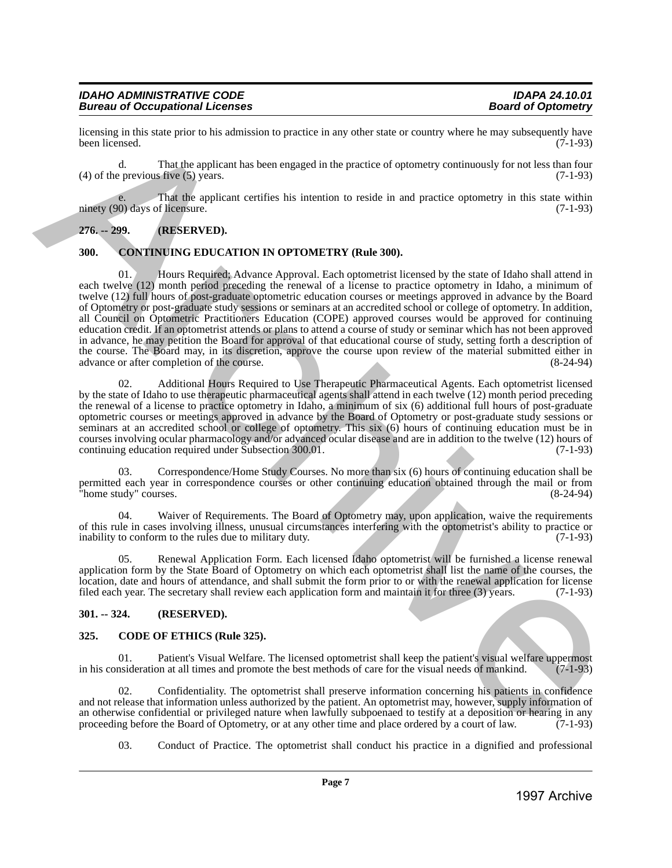licensing in this state prior to his admission to practice in any other state or country where he may subsequently have been licensed. (7-1-93) been licensed. (7-1-93)

d. That the applicant has been engaged in the practice of optometry continuously for not less than four  $(4)$  of the previous five  $(5)$  years.

That the applicant certifies his intention to reside in and practice optometry in this state within ninety (90) days of licensure. (7-1-93)

# <span id="page-6-0"></span>**276. -- 299. (RESERVED).**

# <span id="page-6-1"></span>**300. CONTINUING EDUCATION IN OPTOMETRY (Rule 300).**

01. Hours Required; Advance Approval. Each optometrist licensed by the state of Idaho shall attend in each twelve (12) month period preceding the renewal of a license to practice optometry in Idaho, a minimum of twelve (12) full hours of post-graduate optometric education courses or meetings approved in advance by the Board of Optometry or post-graduate study sessions or seminars at an accredited school or college of optometry. In addition, all Council on Optometric Practitioners Education (COPE) approved courses would be approved for continuing education credit. If an optometrist attends or plans to attend a course of study or seminar which has not been approved in advance, he may petition the Board for approval of that educational course of study, setting forth a description of the course. The Board may, in its discretion, approve the course upon review of the material submitted either in advance or after completion of the course. advance or after completion of the course. Excellent this side pair to bis adiabasis to practice at any edice state or events of any selection any selection ( $\chi$ ) and  $\chi$ )  $\chi$  ( $\chi$ ) and  $\chi$ )  $\chi$  ( $\chi$ ) and  $\chi$ )  $\chi$  ( $\chi$ ) and  $\chi$ )  $\chi$  ( $\chi$ ) and  $\chi$ )  $\$ 

02. Additional Hours Required to Use Therapeutic Pharmaceutical Agents. Each optometrist licensed by the state of Idaho to use therapeutic pharmaceutical agents shall attend in each twelve (12) month period preceding the renewal of a license to practice optometry in Idaho, a minimum of six (6) additional full hours of post-graduate optometric courses or meetings approved in advance by the Board of Optometry or post-graduate study sessions or seminars at an accredited school or college of optometry. This six (6) hours of continuing education must be in courses involving ocular pharmacology and/or advanced ocular disease and are in addition to the twelve (12) hours of continuing education required under Subsection 300.01. (7-1-93) continuing education required under Subsection 300.01.

03. Correspondence/Home Study Courses. No more than six (6) hours of continuing education shall be permitted each year in correspondence courses or other continuing education obtained through the mail or from "home study" courses. (8-24-94)

04. Waiver of Requirements. The Board of Optometry may, upon application, waive the requirements of this rule in cases involving illness, unusual circumstances interfering with the optometrist's ability to practice or inability to conform to the rules due to military duty. (7-1-93) inability to conform to the rules due to military duty.

05. Renewal Application Form. Each licensed Idaho optometrist will be furnished a license renewal application form by the State Board of Optometry on which each optometrist shall list the name of the courses, the location, date and hours of attendance, and shall submit the form prior to or with the renewal application for license filed each year. The secretary shall review each application form and maintain it for three (3) years. (7-1-93)

# <span id="page-6-2"></span>**301. -- 324. (RESERVED).**

#### <span id="page-6-3"></span>**325. CODE OF ETHICS (Rule 325).**

01. Patient's Visual Welfare. The licensed optometrist shall keep the patient's visual welfare uppermost nsideration at all times and promote the best methods of care for the visual needs of mankind. (7-1-93) in his consideration at all times and promote the best methods of care for the visual needs of mankind.

02. Confidentiality. The optometrist shall preserve information concerning his patients in confidence and not release that information unless authorized by the patient. An optometrist may, however, supply information of an otherwise confidential or privileged nature when lawfully subpoenaed to testify at a deposition or hearing in any proceeding before the Board of Optometry, or at any other time and place ordered by a court of law.  $(7$ proceeding before the Board of Optometry, or at any other time and place ordered by a court of law.

03. Conduct of Practice. The optometrist shall conduct his practice in a dignified and professional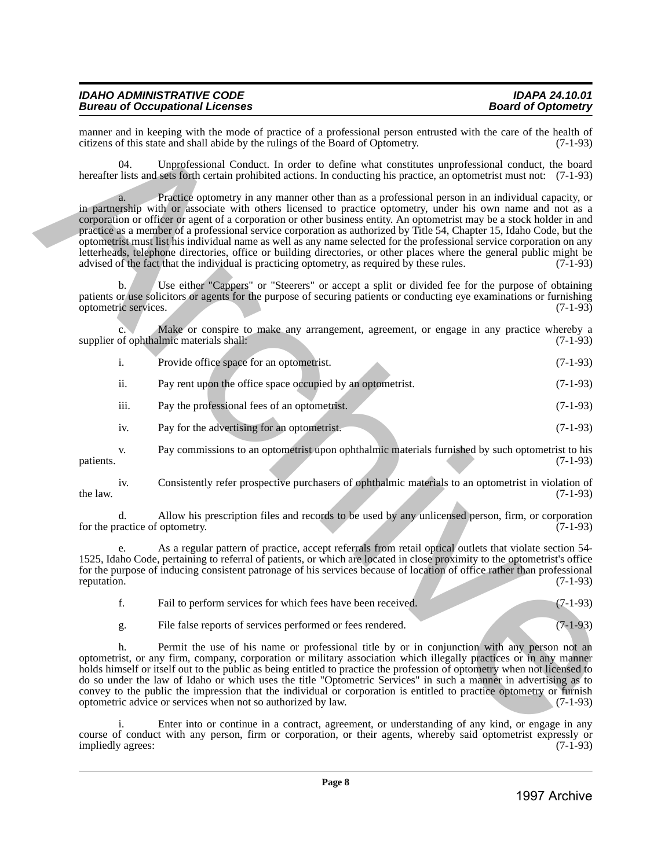manner and in keeping with the mode of practice of a professional person entrusted with the care of the health of citizens of this state and shall abide by the rulings of the Board of Optometry. (7-1-93) citizens of this state and shall abide by the rulings of the Board of Optometry.

04. Unprofessional Conduct. In order to define what constitutes unprofessional conduct, the board hereafter lists and sets forth certain prohibited actions. In conducting his practice, an optometrist must not: (7-1-93)

Practice optometry in any manner other than as a professional person in an individual capacity, or in partnership with or associate with others licensed to practice optometry, under his own name and not as a corporation or officer or agent of a corporation or other business entity. An optometrist may be a stock holder in and practice as a member of a professional service corporation as authorized by Title 54, Chapter 15, Idaho Code, but the optometrist must list his individual name as well as any name selected for the professional service corporation on any letterheads, telephone directories, office or building directories, or other places where the general public might be advised of the fact that the individual is practicing optometry, as required by these rules. (7-1-93) advised of the fact that the individual is practicing optometry, as required by these rules. Hence and late the spherical state is provided in the basis of the spherical state is the spherical state in the spherical state is the spherical state in the spherical state is the spherical state in the spherical stat

b. Use either "Cappers" or "Steerers" or accept a split or divided fee for the purpose of obtaining patients or use solicitors or agents for the purpose of securing patients or conducting eye examinations or furnishing optometric services. (7-1-93) optometric services.

Make or conspire to make any arrangement, agreement, or engage in any practice whereby a limic materials shall:  $(7-1-93)$ supplier of ophthalmic materials shall:

| Provide office space for an optometrist. |  | $(7-1-93)$ |
|------------------------------------------|--|------------|
|                                          |  |            |

| 11. | Pay rent upon the office space occupied by an optometrist. | $(7-1-93)$ |
|-----|------------------------------------------------------------|------------|
|-----|------------------------------------------------------------|------------|

iii. Pay the professional fees of an optometrist. (7-1-93)

iv. Pay for the advertising for an optometrist. (7-1-93)

v. Pay commissions to an optometrist upon ophthalmic materials furnished by such optometrist to his patients. (7-1-93)

iv. Consistently refer prospective purchasers of ophthalmic materials to an optometrist in violation of the law.  $(7-1-93)$ 

d. Allow his prescription files and records to be used by any unlicensed person, firm, or corporation for the practice of optometry.

As a regular pattern of practice, accept referrals from retail optical outlets that violate section 54-1525, Idaho Code, pertaining to referral of patients, or which are located in close proximity to the optometrist's office for the purpose of inducing consistent patronage of his services because of location of office rather than professional reputation. (7-1-93) reputation. (7-1-93)

| Fail to perform services for which fees have been received. |  |  |  | $(7-1-93)$ |
|-------------------------------------------------------------|--|--|--|------------|
|                                                             |  |  |  |            |

g. File false reports of services performed or fees rendered. (7-1-93)

h. Permit the use of his name or professional title by or in conjunction with any person not an optometrist, or any firm, company, corporation or military association which illegally practices or in any manner holds himself or itself out to the public as being entitled to practice the profession of optometry when not licensed to do so under the law of Idaho or which uses the title "Optometric Services" in such a manner in advertising as to convey to the public the impression that the individual or corporation is entitled to practice optometry or furnish optometric advice or services when not so authorized by law. (7-1-93)

i. Enter into or continue in a contract, agreement, or understanding of any kind, or engage in any course of conduct with any person, firm or corporation, or their agents, whereby said optometrist expressly or<br>(7-1-93) (7-1-93) impliedly agrees: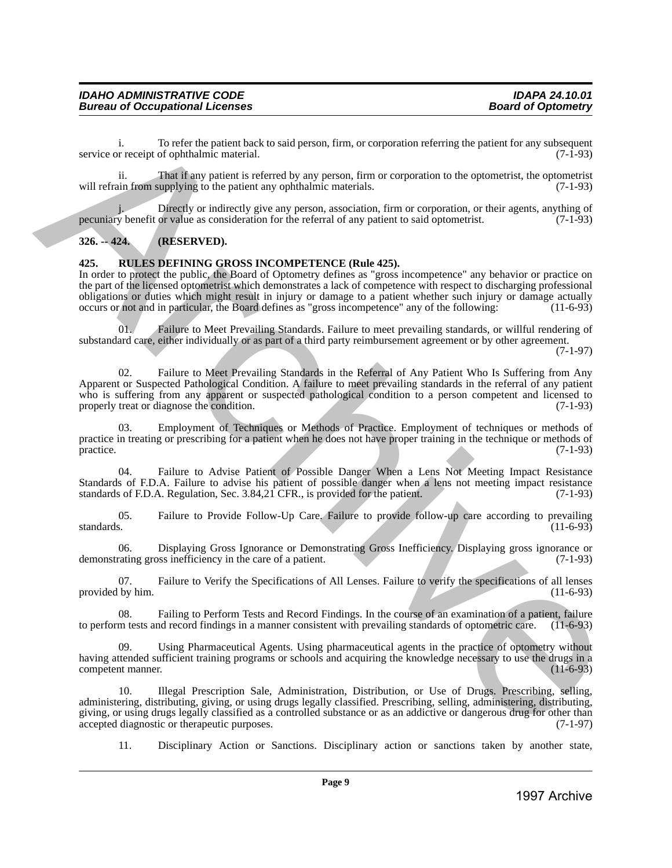i. To refer the patient back to said person, firm, or corporation referring the patient for any subsequent or receipt of ophthalmic material. (7-1-93) service or receipt of ophthalmic material.

ii. That if any patient is referred by any person, firm or corporation to the optometrist, the optometrist will refrain from supplying to the patient any ophthalmic materials. (7-1-93)

Directly or indirectly give any person, association, firm or corporation, or their agents, anything of or value as consideration for the referral of any patient to said optometrist. (7-1-93) pecuniary benefit or value as consideration for the referral of any patient to said optometrist.

# <span id="page-8-0"></span>**326. -- 424. (RESERVED).**

#### <span id="page-8-1"></span>**425. RULES DEFINING GROSS INCOMPETENCE (Rule 425).**

In order to protect the public, the Board of Optometry defines as "gross incompetence" any behavior or practice on the part of the licensed optometrist which demonstrates a lack of competence with respect to discharging professional obligations or duties which might result in injury or damage to a patient whether such injury or damage actually occurs or not and in particular, the Board defines as "gross incompetence" any of the following: (11-6-93) occurs or not and in particular, the Board defines as "gross incompetence" any of the following:

01. Failure to Meet Prevailing Standards. Failure to meet prevailing standards, or willful rendering of substandard care, either individually or as part of a third party reimbursement agreement or by other agreement.

(7-1-97)

02. Failure to Meet Prevailing Standards in the Referral of Any Patient Who Is Suffering from Any Apparent or Suspected Pathological Condition. A failure to meet prevailing standards in the referral of any patient who is suffering from any apparent or suspected pathological condition to a person competent and licensed to properly treat or diagnose the condition. (7-1-93) properly treat or diagnose the condition. service of receipt of opticina metallicity to suid period, firm, or corporation cheming the period, for any subsequent of  $\sigma$  and  $\sigma$  and  $\sigma$  and  $\sigma$  and  $\sigma$  and  $\sigma$  and  $\sigma$  and  $\sigma$  and  $\sigma$  and  $\sigma$  and  $\sigma$  and

03. Employment of Techniques or Methods of Practice. Employment of techniques or methods of practice in treating or prescribing for a patient when he does not have proper training in the technique or methods of practice. (7-1-93) practice. (7-1-93)

04. Failure to Advise Patient of Possible Danger When a Lens Not Meeting Impact Resistance Standards of F.D.A. Failure to advise his patient of possible danger when a lens not meeting impact resistance standards of F.D.A. Regulation, Sec. 3.84,21 CFR., is provided for the patient. (7-1-93)

05. Failure to Provide Follow-Up Care. Failure to provide follow-up care according to prevailing standards. (11-6-93) standards. (11-6-93)

06. Displaying Gross Ignorance or Demonstrating Gross Inefficiency. Displaying gross ignorance or rating gross inefficiency in the care of a patient. (7-1-93) demonstrating gross inefficiency in the care of a patient.

07. Failure to Verify the Specifications of All Lenses. Failure to verify the specifications of all lenses provided by him. (11-6-93)

08. Failing to Perform Tests and Record Findings. In the course of an examination of a patient, failure m tests and record findings in a manner consistent with prevailing standards of optometric care. (11-6-93) to perform tests and record findings in a manner consistent with prevailing standards of optometric care.

Using Pharmaceutical Agents. Using pharmaceutical agents in the practice of optometry without having attended sufficient training programs or schools and acquiring the knowledge necessary to use the drugs in a competent manner. (11-6-93) competent manner.

10. Illegal Prescription Sale, Administration, Distribution, or Use of Drugs. Prescribing, selling, administering, distributing, giving, or using drugs legally classified. Prescribing, selling, administering, distributing, giving, or using drugs legally classified as a controlled substance or as an addictive or dangerous drug for other than accepted diagnostic or therapeutic purposes. (7-1-97) accepted diagnostic or therapeutic purposes.

11. Disciplinary Action or Sanctions. Disciplinary action or sanctions taken by another state,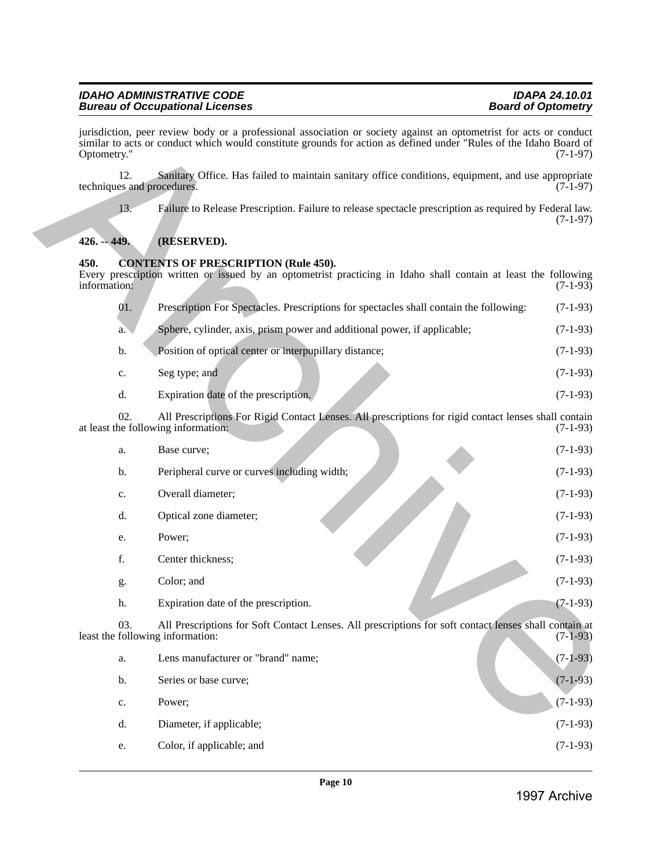jurisdiction, peer review body or a professional association or society against an optometrist for acts or conduct similar to acts or conduct which would constitute grounds for action as defined under "Rules of the Idaho Board of Optometry." (7-1-97) Optometry." (7-1-97)

12. Sanitary Office. Has failed to maintain sanitary office conditions, equipment, and use appropriate techniques and procedures. (7-1-97)

13. Failure to Release Prescription. Failure to release spectacle prescription as required by Federal law. (7-1-97)

# <span id="page-9-0"></span>**426. -- 449. (RESERVED).**

# <span id="page-9-1"></span>**450. CONTENTS OF PRESCRIPTION (Rule 450).**

Every prescription written or issued by an optometrist practicing in Idaho shall contain at least the following information: (7-1-93) 01. Prescription For Spectacles. Prescriptions for spectacles shall contain the following: (7-1-93) a. Sphere, cylinder, axis, prism power and additional power, if applicable; (7-1-93) b. Position of optical center or interpupillary distance; (7-1-93) c. Seg type; and  $(7-1-93)$ d. Expiration date of the prescription. (7-1-93) 02. All Prescriptions For Rigid Contact Lenses. All prescriptions for rigid contact lenses shall contain the following information: (7-1-93) at least the following information: a. Base curve;  $(7-1-93)$ b. Peripheral curve or curves including width; (7-1-93) c. Overall diameter; (7-1-93) d. Optical zone diameter; (7-1-93) e. Power;  $(7-1-93)$ f. Center thickness; (7-1-93) g. Color; and  $(7-1-93)$ h. Expiration date of the prescription. (7-1-93) 03. All Prescriptions for Soft Contact Lenses. All prescriptions for soft contact lenses shall contain at following information: (7-1-93) least the following information: a. Lens manufacturer or "brand" name; (7-1-93) b. Series or base curve; (7-1-93) c. Power;  $(7-1-93)$ d. Diameter, if applicable; (7-1-93) e. Color, if applicable; and (7-1-93) Archives and review by the a polymological materialism or section and archives and archives and archives and archives and archives and archives and archives and archives and archives and archives and archives and the ar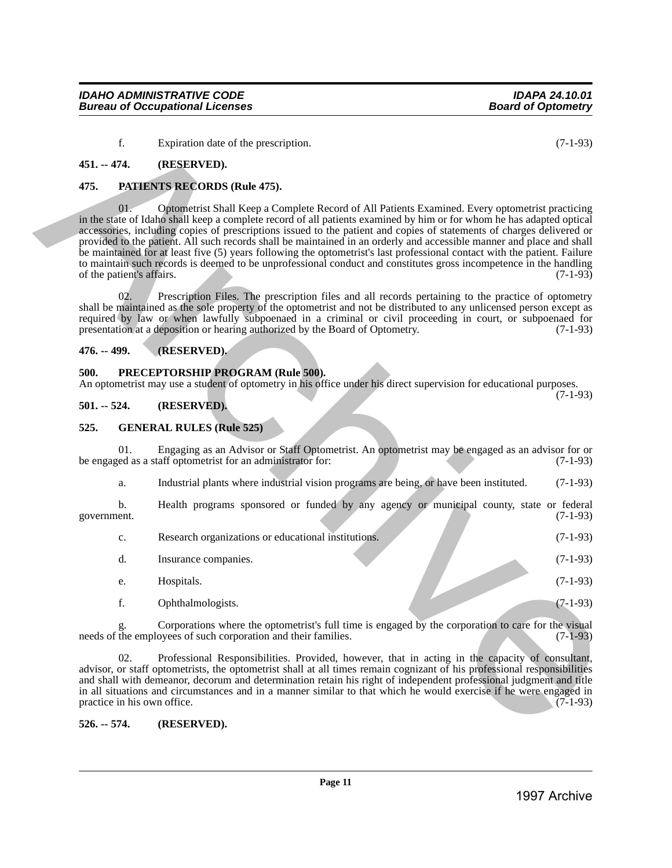#### f. Expiration date of the prescription. (7-1-93)

#### <span id="page-10-0"></span>**451. -- 474. (RESERVED).**

#### <span id="page-10-1"></span>**475. PATIENTS RECORDS (Rule 475).**

01. Optometrist Shall Keep a Complete Record of All Patients Examined. Every optometrist practicing in the state of Idaho shall keep a complete record of all patients examined by him or for whom he has adapted optical accessories, including copies of prescriptions issued to the patient and copies of statements of charges delivered or provided to the patient. All such records shall be maintained in an orderly and accessible manner and place and shall be maintained for at least five (5) years following the optometrist's last professional contact with the patient. Failure to maintain such records is deemed to be unprofessional conduct and constitutes gross incompetence in the handling<br>of the patient's affairs. (7-1-93) of the patient's affairs. 2<br>
1997 **Contained Street Contained Street Contained Street Contained Street Contained Street Contained Street Contained Street Contained Street Contained Street Contained Street Contained Street Contained Street Containe** 

02. Prescription Files. The prescription files and all records pertaining to the practice of optometry shall be maintained as the sole property of the optometrist and not be distributed to any unlicensed person except as required by law or when lawfully subpoenaed in a criminal or civil proceeding in court, or subpoenaed for presentation at a deposition or hearing authorized by the Board of Optometry. (7-1-93)

#### <span id="page-10-2"></span>**476. -- 499. (RESERVED).**

#### <span id="page-10-3"></span>**500. PRECEPTORSHIP PROGRAM (Rule 500).**

An optometrist may use a student of optometry in his office under his direct supervision for educational purposes. (7-1-93)

#### <span id="page-10-4"></span>**501. -- 524. (RESERVED).**

#### <span id="page-10-5"></span>**525. GENERAL RULES (Rule 525)**

01. Engaging as an Advisor or Staff Optometrist. An optometrist may be engaged as an advisor for or ed as a staff optometrist for an administrator for: (7-1-93) be engaged as a staff optometrist for an administrator for:

a. Industrial plants where industrial vision programs are being, or have been instituted. (7-1-93)

b. Health programs sponsored or funded by any agency or municipal county, state or federal ent. (7-1-93) government. (7-1-93)

| $\mathbf{c}$ . | Research organizations or educational institutions. | $(7-1-93)$ |
|----------------|-----------------------------------------------------|------------|
|                | Insurance companies.                                | $(7-1-93)$ |
| e.             | Hospitals.                                          | $(7-1-93)$ |
|                | Ophthalmologists.                                   | $(7-1-93)$ |

Corporations where the optometrist's full time is engaged by the corporation to care for the visual ovees of such corporation and their families. (7-1-93) needs of the employees of such corporation and their families.

02. Professional Responsibilities. Provided, however, that in acting in the capacity of consultant, advisor, or staff optometrists, the optometrist shall at all times remain cognizant of his professional responsibilities and shall with demeanor, decorum and determination retain his right of independent professional judgment and title in all situations and circumstances and in a manner similar to that which he would exercise if he were engaged in practice in his own office. (7-1-93) practice in his own office.

#### <span id="page-10-6"></span>**526. -- 574. (RESERVED).**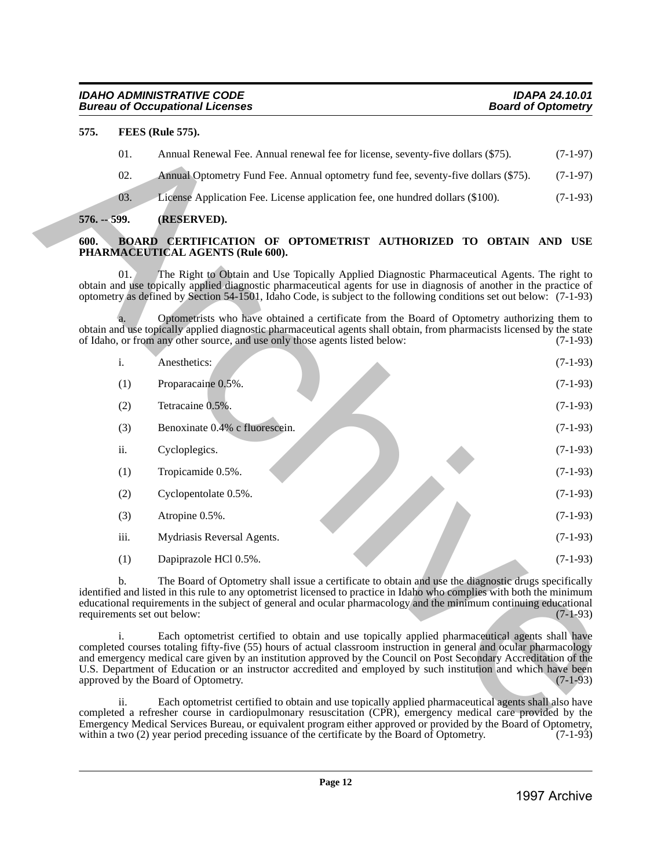# <span id="page-11-0"></span>**575. FEES (Rule 575).**

# <span id="page-11-1"></span>**576. -- 599. (RESERVED).**

# <span id="page-11-2"></span>**600. BOARD CERTIFICATION OF OPTOMETRIST AUTHORIZED TO OBTAIN AND USE PHARMACEUTICAL AGENTS (Rule 600).**

| Annual Renewal Fee. Annual renewal fee for license, seventy-five dollars (\$75).<br>Annual Optometry Fund Fee. Annual optometry fund fee, seventy-five dollars (\$75).<br>License Application Fee. License application fee, one hundred dollars (\$100).<br>(RESERVED).<br>BOARD CERTIFICATION OF OPTOMETRIST AUTHORIZED TO OBTAIN AND USE<br>PHARMACEUTICAL AGENTS (Rule 600).<br>The Right to Obtain and Use Topically Applied Diagnostic Pharmaceutical Agents. The right to<br>obtain and use topically applied diagnostic pharmaceutical agents for use in diagnosis of another in the practice of<br>optometry as defined by Section 54-1501, Idaho Code, is subject to the following conditions set out below: (7-1-93) | $(7-1-97)$<br>$(7-1-97)$<br>$(7-1-93)$                                                                                                                                                                                                                                                                                                                                                                                                                                                                                                                                                                                                                                                                                                                                                                                                                                                                                                                                                                                       |
|--------------------------------------------------------------------------------------------------------------------------------------------------------------------------------------------------------------------------------------------------------------------------------------------------------------------------------------------------------------------------------------------------------------------------------------------------------------------------------------------------------------------------------------------------------------------------------------------------------------------------------------------------------------------------------------------------------------------------------|------------------------------------------------------------------------------------------------------------------------------------------------------------------------------------------------------------------------------------------------------------------------------------------------------------------------------------------------------------------------------------------------------------------------------------------------------------------------------------------------------------------------------------------------------------------------------------------------------------------------------------------------------------------------------------------------------------------------------------------------------------------------------------------------------------------------------------------------------------------------------------------------------------------------------------------------------------------------------------------------------------------------------|
|                                                                                                                                                                                                                                                                                                                                                                                                                                                                                                                                                                                                                                                                                                                                |                                                                                                                                                                                                                                                                                                                                                                                                                                                                                                                                                                                                                                                                                                                                                                                                                                                                                                                                                                                                                              |
|                                                                                                                                                                                                                                                                                                                                                                                                                                                                                                                                                                                                                                                                                                                                |                                                                                                                                                                                                                                                                                                                                                                                                                                                                                                                                                                                                                                                                                                                                                                                                                                                                                                                                                                                                                              |
|                                                                                                                                                                                                                                                                                                                                                                                                                                                                                                                                                                                                                                                                                                                                |                                                                                                                                                                                                                                                                                                                                                                                                                                                                                                                                                                                                                                                                                                                                                                                                                                                                                                                                                                                                                              |
|                                                                                                                                                                                                                                                                                                                                                                                                                                                                                                                                                                                                                                                                                                                                |                                                                                                                                                                                                                                                                                                                                                                                                                                                                                                                                                                                                                                                                                                                                                                                                                                                                                                                                                                                                                              |
|                                                                                                                                                                                                                                                                                                                                                                                                                                                                                                                                                                                                                                                                                                                                |                                                                                                                                                                                                                                                                                                                                                                                                                                                                                                                                                                                                                                                                                                                                                                                                                                                                                                                                                                                                                              |
|                                                                                                                                                                                                                                                                                                                                                                                                                                                                                                                                                                                                                                                                                                                                |                                                                                                                                                                                                                                                                                                                                                                                                                                                                                                                                                                                                                                                                                                                                                                                                                                                                                                                                                                                                                              |
| Optometrists who have obtained a certificate from the Board of Optometry authorizing them to<br>obtain and use topically applied diagnostic pharmaceutical agents shall obtain, from pharmacists licensed by the state<br>of Idaho, or from any other source, and use only those agents listed below:                                                                                                                                                                                                                                                                                                                                                                                                                          | $(7-1-93)$                                                                                                                                                                                                                                                                                                                                                                                                                                                                                                                                                                                                                                                                                                                                                                                                                                                                                                                                                                                                                   |
| Anesthetics:                                                                                                                                                                                                                                                                                                                                                                                                                                                                                                                                                                                                                                                                                                                   | $(7-1-93)$                                                                                                                                                                                                                                                                                                                                                                                                                                                                                                                                                                                                                                                                                                                                                                                                                                                                                                                                                                                                                   |
| Proparacaine 0.5%.                                                                                                                                                                                                                                                                                                                                                                                                                                                                                                                                                                                                                                                                                                             | $(7-1-93)$                                                                                                                                                                                                                                                                                                                                                                                                                                                                                                                                                                                                                                                                                                                                                                                                                                                                                                                                                                                                                   |
| Tetracaine 0.5%.                                                                                                                                                                                                                                                                                                                                                                                                                                                                                                                                                                                                                                                                                                               | $(7-1-93)$                                                                                                                                                                                                                                                                                                                                                                                                                                                                                                                                                                                                                                                                                                                                                                                                                                                                                                                                                                                                                   |
| Benoxinate 0.4% c fluorescein.                                                                                                                                                                                                                                                                                                                                                                                                                                                                                                                                                                                                                                                                                                 | $(7-1-93)$                                                                                                                                                                                                                                                                                                                                                                                                                                                                                                                                                                                                                                                                                                                                                                                                                                                                                                                                                                                                                   |
| Cycloplegics.                                                                                                                                                                                                                                                                                                                                                                                                                                                                                                                                                                                                                                                                                                                  | $(7-1-93)$                                                                                                                                                                                                                                                                                                                                                                                                                                                                                                                                                                                                                                                                                                                                                                                                                                                                                                                                                                                                                   |
| Tropicamide 0.5%.                                                                                                                                                                                                                                                                                                                                                                                                                                                                                                                                                                                                                                                                                                              | $(7-1-93)$                                                                                                                                                                                                                                                                                                                                                                                                                                                                                                                                                                                                                                                                                                                                                                                                                                                                                                                                                                                                                   |
| Cyclopentolate 0.5%.                                                                                                                                                                                                                                                                                                                                                                                                                                                                                                                                                                                                                                                                                                           | $(7-1-93)$                                                                                                                                                                                                                                                                                                                                                                                                                                                                                                                                                                                                                                                                                                                                                                                                                                                                                                                                                                                                                   |
| Atropine 0.5%.                                                                                                                                                                                                                                                                                                                                                                                                                                                                                                                                                                                                                                                                                                                 | $(7-1-93)$                                                                                                                                                                                                                                                                                                                                                                                                                                                                                                                                                                                                                                                                                                                                                                                                                                                                                                                                                                                                                   |
| Mydriasis Reversal Agents.                                                                                                                                                                                                                                                                                                                                                                                                                                                                                                                                                                                                                                                                                                     | $(7-1-93)$                                                                                                                                                                                                                                                                                                                                                                                                                                                                                                                                                                                                                                                                                                                                                                                                                                                                                                                                                                                                                   |
| Dapiprazole HCl 0.5%.                                                                                                                                                                                                                                                                                                                                                                                                                                                                                                                                                                                                                                                                                                          | $(7-1-93)$                                                                                                                                                                                                                                                                                                                                                                                                                                                                                                                                                                                                                                                                                                                                                                                                                                                                                                                                                                                                                   |
| The Board of Optometry shall issue a certificate to obtain and use the diagnostic drugs specifically                                                                                                                                                                                                                                                                                                                                                                                                                                                                                                                                                                                                                           | $(7-1-93)$                                                                                                                                                                                                                                                                                                                                                                                                                                                                                                                                                                                                                                                                                                                                                                                                                                                                                                                                                                                                                   |
| Each optometrist certified to obtain and use topically applied pharmaceutical agents shall have                                                                                                                                                                                                                                                                                                                                                                                                                                                                                                                                                                                                                                | $(7-1-93)$                                                                                                                                                                                                                                                                                                                                                                                                                                                                                                                                                                                                                                                                                                                                                                                                                                                                                                                                                                                                                   |
| Each optometrist certified to obtain and use topically applied pharmaceutical agents shall also have                                                                                                                                                                                                                                                                                                                                                                                                                                                                                                                                                                                                                           | $(7-1-93)$                                                                                                                                                                                                                                                                                                                                                                                                                                                                                                                                                                                                                                                                                                                                                                                                                                                                                                                                                                                                                   |
|                                                                                                                                                                                                                                                                                                                                                                                                                                                                                                                                                                                                                                                                                                                                | 1997 Archive                                                                                                                                                                                                                                                                                                                                                                                                                                                                                                                                                                                                                                                                                                                                                                                                                                                                                                                                                                                                                 |
|                                                                                                                                                                                                                                                                                                                                                                                                                                                                                                                                                                                                                                                                                                                                | identified and listed in this rule to any optometrist licensed to practice in Idaho who complies with both the minimum<br>educational requirements in the subject of general and ocular pharmacology and the minimum continuing educational<br>requirements set out below:<br>completed courses totaling fifty-five (55) hours of actual classroom instruction in general and ocular pharmacology<br>and emergency medical care given by an institution approved by the Council on Post Secondary Accreditation of the<br>U.S. Department of Education or an instructor accredited and employed by such institution and which have been<br>approved by the Board of Optometry.<br>completed a refresher course in cardiopulmonary resuscitation (CPR), emergency medical care provided by the<br>Emergency Medical Services Bureau, or equivalent program either approved or provided by the Board of Optometry,<br>within a two (2) year period preceding issuance of the certificate by the Board of Optometry.<br>Page 12 |